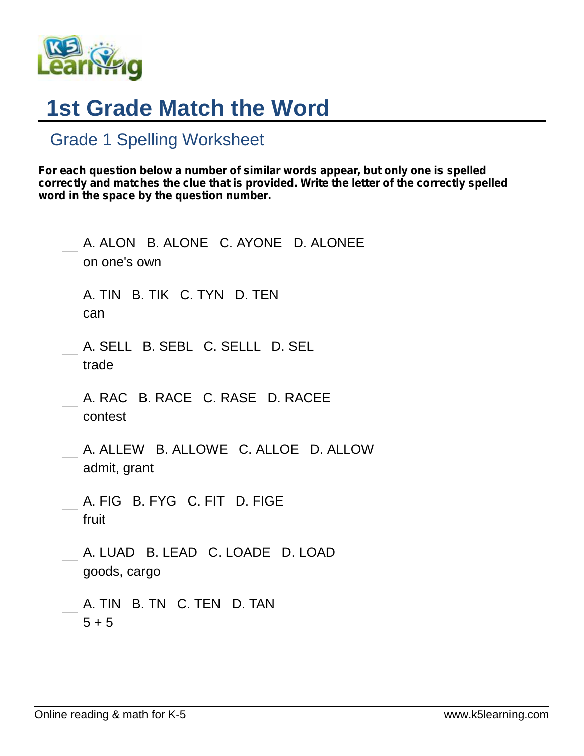

## **1st Grade Match the Word**

## Grade 1 Spelling Worksheet

*For each question below a number of similar words appear, but only one is spelled correctly and matches the clue that is provided. Write the letter of the correctly spelled word in the space by the question number.*

| A. ALON B. ALONE C. AYONE D. ALONEE<br>on one's own  |
|------------------------------------------------------|
| A. TIN B. TIK C. TYN D. TEN<br>can                   |
| A. SELL B. SEBL C. SELLL D. SEL<br>trade             |
| A. RAC B. RACE C. RASE D. RACEE<br>contest           |
| A. ALLEW B. ALLOWE C. ALLOE D. ALLOW<br>admit, grant |
| A. FIG B. FYG C. FIT D. FIGE<br>fruit                |
| A. LUAD B. LEAD C. LOADE D. LOAD<br>goods, cargo     |
| A. TIN B. TN C. TEN D. TAN<br>$5 + 5$                |